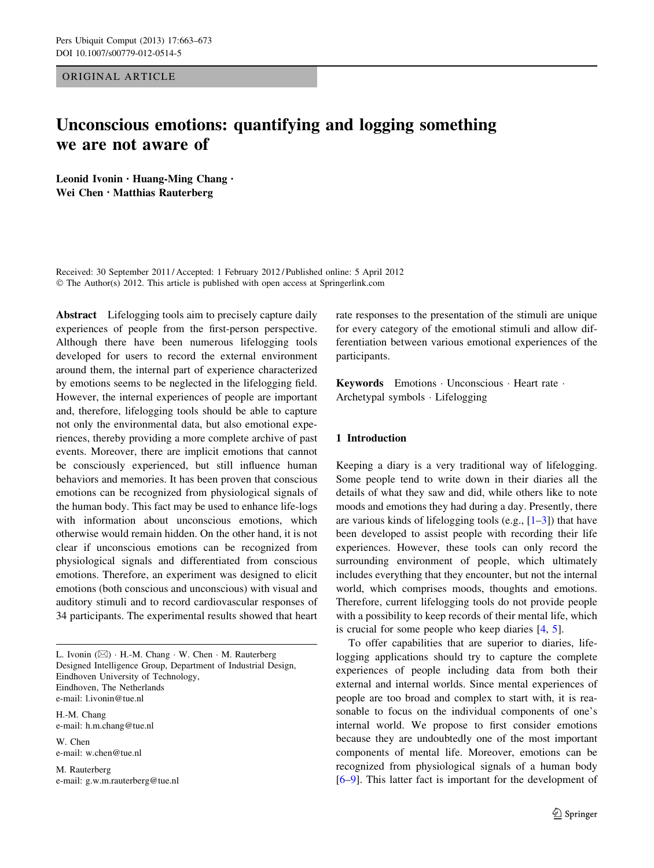ORIGINAL ARTICLE

# Unconscious emotions: quantifying and logging something we are not aware of

Leonid Ivonin • Huang-Ming Chang • Wei Chen • Matthias Rauterberg

Received: 30 September 2011 / Accepted: 1 February 2012 / Published online: 5 April 2012 © The Author(s) 2012. This article is published with open access at Springerlink.com

Abstract Lifelogging tools aim to precisely capture daily experiences of people from the first-person perspective. Although there have been numerous lifelogging tools developed for users to record the external environment around them, the internal part of experience characterized by emotions seems to be neglected in the lifelogging field. However, the internal experiences of people are important and, therefore, lifelogging tools should be able to capture not only the environmental data, but also emotional experiences, thereby providing a more complete archive of past events. Moreover, there are implicit emotions that cannot be consciously experienced, but still influence human behaviors and memories. It has been proven that conscious emotions can be recognized from physiological signals of the human body. This fact may be used to enhance life-logs with information about unconscious emotions, which otherwise would remain hidden. On the other hand, it is not clear if unconscious emotions can be recognized from physiological signals and differentiated from conscious emotions. Therefore, an experiment was designed to elicit emotions (both conscious and unconscious) with visual and auditory stimuli and to record cardiovascular responses of 34 participants. The experimental results showed that heart

L. Ivonin (⊠) · H.-M. Chang · W. Chen · M. Rauterberg Designed Intelligence Group, Department of Industrial Design, Eindhoven University of Technology, Eindhoven, The Netherlands e-mail: l.ivonin@tue.nl

H.-M. Chang e-mail: h.m.chang@tue.nl

W. Chen e-mail: w.chen@tue.nl

M. Rauterberg e-mail: g.w.m.rauterberg@tue.nl rate responses to the presentation of the stimuli are unique for every category of the emotional stimuli and allow differentiation between various emotional experiences of the participants.

Keywords Emotions · Unconscious · Heart rate · Archetypal symbols - Lifelogging

# 1 Introduction

Keeping a diary is a very traditional way of lifelogging. Some people tend to write down in their diaries all the details of what they saw and did, while others like to note moods and emotions they had during a day. Presently, there are various kinds of lifelogging tools (e.g.,  $[1-3]$ ) that have been developed to assist people with recording their life experiences. However, these tools can only record the surrounding environment of people, which ultimately includes everything that they encounter, but not the internal world, which comprises moods, thoughts and emotions. Therefore, current lifelogging tools do not provide people with a possibility to keep records of their mental life, which is crucial for some people who keep diaries [\[4](#page-9-0), [5](#page-9-0)].

To offer capabilities that are superior to diaries, lifelogging applications should try to capture the complete experiences of people including data from both their external and internal worlds. Since mental experiences of people are too broad and complex to start with, it is reasonable to focus on the individual components of one's internal world. We propose to first consider emotions because they are undoubtedly one of the most important components of mental life. Moreover, emotions can be recognized from physiological signals of a human body [\[6–9](#page-9-0)]. This latter fact is important for the development of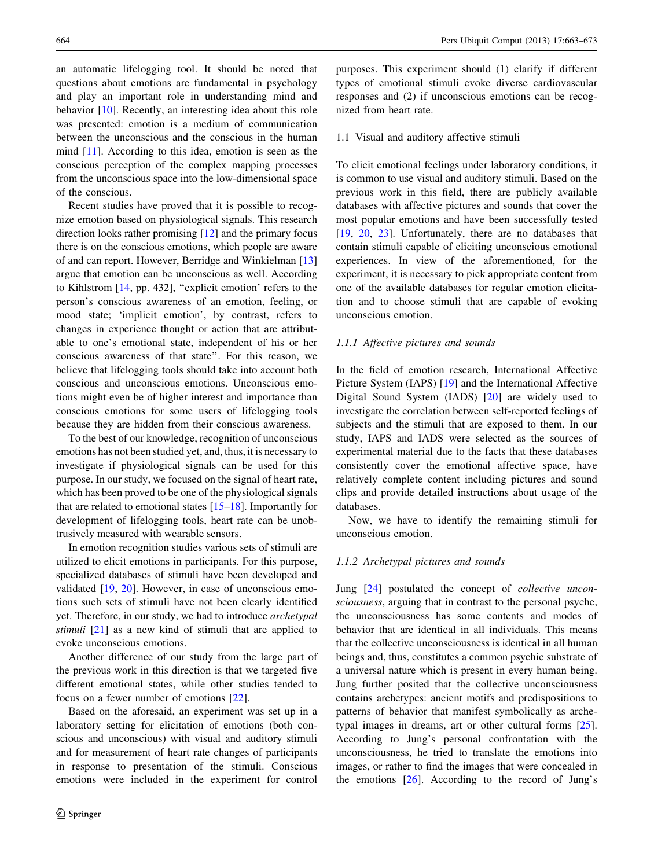an automatic lifelogging tool. It should be noted that questions about emotions are fundamental in psychology and play an important role in understanding mind and behavior [[10\]](#page-9-0). Recently, an interesting idea about this role was presented: emotion is a medium of communication between the unconscious and the conscious in the human mind [[11\]](#page-9-0). According to this idea, emotion is seen as the conscious perception of the complex mapping processes from the unconscious space into the low-dimensional space of the conscious.

Recent studies have proved that it is possible to recognize emotion based on physiological signals. This research direction looks rather promising [[12\]](#page-9-0) and the primary focus there is on the conscious emotions, which people are aware of and can report. However, Berridge and Winkielman [[13\]](#page-9-0) argue that emotion can be unconscious as well. According to Kihlstrom [\[14](#page-9-0), pp. 432], ''explicit emotion' refers to the person's conscious awareness of an emotion, feeling, or mood state; 'implicit emotion', by contrast, refers to changes in experience thought or action that are attributable to one's emotional state, independent of his or her conscious awareness of that state''. For this reason, we believe that lifelogging tools should take into account both conscious and unconscious emotions. Unconscious emotions might even be of higher interest and importance than conscious emotions for some users of lifelogging tools because they are hidden from their conscious awareness.

To the best of our knowledge, recognition of unconscious emotions has not been studied yet, and, thus, it is necessary to investigate if physiological signals can be used for this purpose. In our study, we focused on the signal of heart rate, which has been proved to be one of the physiological signals that are related to emotional states [\[15](#page-9-0)[–18](#page-10-0)]. Importantly for development of lifelogging tools, heart rate can be unobtrusively measured with wearable sensors.

In emotion recognition studies various sets of stimuli are utilized to elicit emotions in participants. For this purpose, specialized databases of stimuli have been developed and validated [[19,](#page-10-0) [20](#page-10-0)]. However, in case of unconscious emotions such sets of stimuli have not been clearly identified yet. Therefore, in our study, we had to introduce archetypal stimuli [[21\]](#page-10-0) as a new kind of stimuli that are applied to evoke unconscious emotions.

Another difference of our study from the large part of the previous work in this direction is that we targeted five different emotional states, while other studies tended to focus on a fewer number of emotions [\[22](#page-10-0)].

Based on the aforesaid, an experiment was set up in a laboratory setting for elicitation of emotions (both conscious and unconscious) with visual and auditory stimuli and for measurement of heart rate changes of participants in response to presentation of the stimuli. Conscious emotions were included in the experiment for control purposes. This experiment should (1) clarify if different types of emotional stimuli evoke diverse cardiovascular responses and (2) if unconscious emotions can be recognized from heart rate.

# 1.1 Visual and auditory affective stimuli

To elicit emotional feelings under laboratory conditions, it is common to use visual and auditory stimuli. Based on the previous work in this field, there are publicly available databases with affective pictures and sounds that cover the most popular emotions and have been successfully tested [\[19](#page-10-0), [20,](#page-10-0) [23](#page-10-0)]. Unfortunately, there are no databases that contain stimuli capable of eliciting unconscious emotional experiences. In view of the aforementioned, for the experiment, it is necessary to pick appropriate content from one of the available databases for regular emotion elicitation and to choose stimuli that are capable of evoking unconscious emotion.

# 1.1.1 Affective pictures and sounds

In the field of emotion research, International Affective Picture System (IAPS) [[19\]](#page-10-0) and the International Affective Digital Sound System (IADS) [[20\]](#page-10-0) are widely used to investigate the correlation between self-reported feelings of subjects and the stimuli that are exposed to them. In our study, IAPS and IADS were selected as the sources of experimental material due to the facts that these databases consistently cover the emotional affective space, have relatively complete content including pictures and sound clips and provide detailed instructions about usage of the databases.

Now, we have to identify the remaining stimuli for unconscious emotion.

# 1.1.2 Archetypal pictures and sounds

Jung [\[24](#page-10-0)] postulated the concept of collective unconsciousness, arguing that in contrast to the personal psyche, the unconsciousness has some contents and modes of behavior that are identical in all individuals. This means that the collective unconsciousness is identical in all human beings and, thus, constitutes a common psychic substrate of a universal nature which is present in every human being. Jung further posited that the collective unconsciousness contains archetypes: ancient motifs and predispositions to patterns of behavior that manifest symbolically as archetypal images in dreams, art or other cultural forms [\[25](#page-10-0)]. According to Jung's personal confrontation with the unconsciousness, he tried to translate the emotions into images, or rather to find the images that were concealed in the emotions  $[26]$  $[26]$ . According to the record of Jung's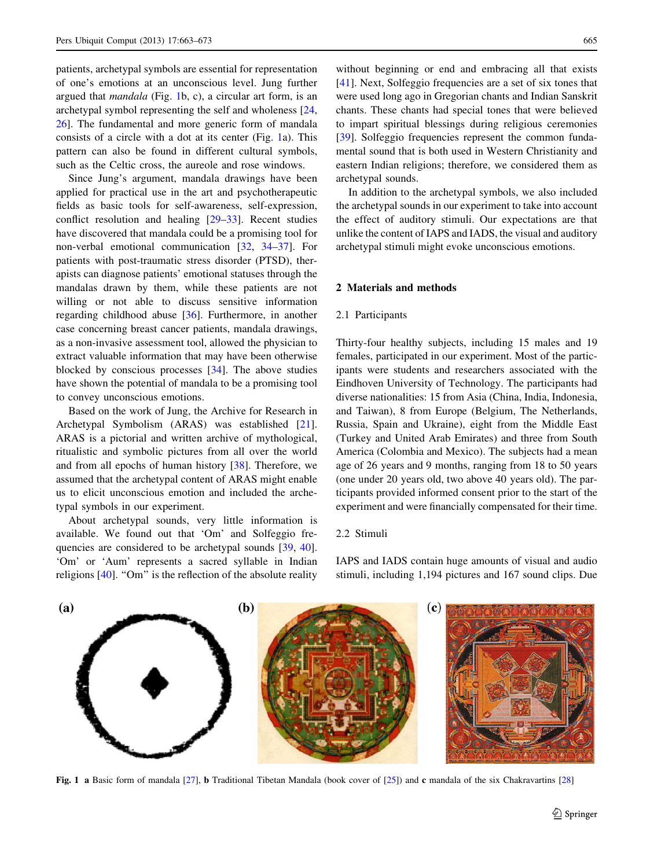patients, archetypal symbols are essential for representation of one's emotions at an unconscious level. Jung further argued that mandala (Fig. 1b, c), a circular art form, is an archetypal symbol representing the self and wholeness [[24,](#page-10-0) [26](#page-10-0)]. The fundamental and more generic form of mandala consists of a circle with a dot at its center (Fig. 1a). This pattern can also be found in different cultural symbols, such as the Celtic cross, the aureole and rose windows.

Since Jung's argument, mandala drawings have been applied for practical use in the art and psychotherapeutic fields as basic tools for self-awareness, self-expression, conflict resolution and healing [\[29–33](#page-10-0)]. Recent studies have discovered that mandala could be a promising tool for non-verbal emotional communication [\[32](#page-10-0), [34–37](#page-10-0)]. For patients with post-traumatic stress disorder (PTSD), therapists can diagnose patients' emotional statuses through the mandalas drawn by them, while these patients are not willing or not able to discuss sensitive information regarding childhood abuse [\[36](#page-10-0)]. Furthermore, in another case concerning breast cancer patients, mandala drawings, as a non-invasive assessment tool, allowed the physician to extract valuable information that may have been otherwise blocked by conscious processes [\[34](#page-10-0)]. The above studies have shown the potential of mandala to be a promising tool to convey unconscious emotions.

Based on the work of Jung, the Archive for Research in Archetypal Symbolism (ARAS) was established [\[21](#page-10-0)]. ARAS is a pictorial and written archive of mythological, ritualistic and symbolic pictures from all over the world and from all epochs of human history [[38\]](#page-10-0). Therefore, we assumed that the archetypal content of ARAS might enable us to elicit unconscious emotion and included the archetypal symbols in our experiment.

About archetypal sounds, very little information is available. We found out that 'Om' and Solfeggio frequencies are considered to be archetypal sounds [\[39](#page-10-0), [40](#page-10-0)]. 'Om' or 'Aum' represents a sacred syllable in Indian religions [[40\]](#page-10-0). "Om" is the reflection of the absolute reality

without beginning or end and embracing all that exists [\[41](#page-10-0)]. Next, Solfeggio frequencies are a set of six tones that were used long ago in Gregorian chants and Indian Sanskrit chants. These chants had special tones that were believed to impart spiritual blessings during religious ceremonies [\[39](#page-10-0)]. Solfeggio frequencies represent the common fundamental sound that is both used in Western Christianity and eastern Indian religions; therefore, we considered them as archetypal sounds.

In addition to the archetypal symbols, we also included the archetypal sounds in our experiment to take into account the effect of auditory stimuli. Our expectations are that unlike the content of IAPS and IADS, the visual and auditory archetypal stimuli might evoke unconscious emotions.

# 2 Materials and methods

#### 2.1 Participants

Thirty-four healthy subjects, including 15 males and 19 females, participated in our experiment. Most of the participants were students and researchers associated with the Eindhoven University of Technology. The participants had diverse nationalities: 15 from Asia (China, India, Indonesia, and Taiwan), 8 from Europe (Belgium, The Netherlands, Russia, Spain and Ukraine), eight from the Middle East (Turkey and United Arab Emirates) and three from South America (Colombia and Mexico). The subjects had a mean age of 26 years and 9 months, ranging from 18 to 50 years (one under 20 years old, two above 40 years old). The participants provided informed consent prior to the start of the experiment and were financially compensated for their time.

#### 2.2 Stimuli

IAPS and IADS contain huge amounts of visual and audio stimuli, including 1,194 pictures and 167 sound clips. Due



Fig. 1 a Basic form of mandala [[27](#page-10-0)], b Traditional Tibetan Mandala (book cover of [\[25\]](#page-10-0)) and c mandala of the six Chakravartins [[28](#page-10-0)]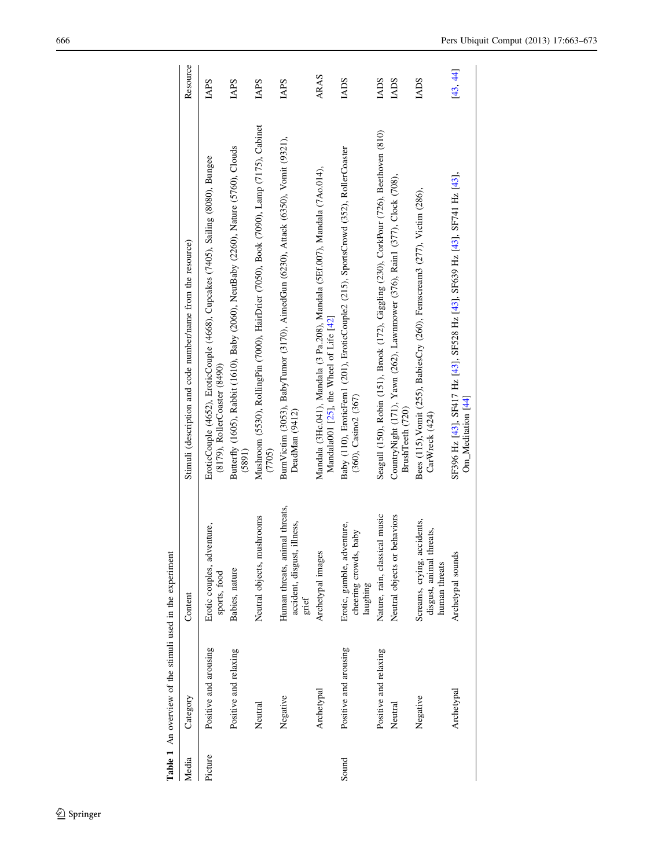<span id="page-3-0"></span>

| ٠<br><br>۰.<br>×<br>٧<br>۰,<br>v |
|----------------------------------|
|----------------------------------|

|         | Table 1 An overview of the stimuli used in the experiment |                                                                            |                                                                                                                         |             |
|---------|-----------------------------------------------------------|----------------------------------------------------------------------------|-------------------------------------------------------------------------------------------------------------------------|-------------|
| Media   | Category                                                  | Content                                                                    | Stimuli (description and code number/name from the resource)                                                            | Resource    |
| Picture | Positive and arousing                                     | Erotic couples, adventure,<br>sports, food                                 | EroticCouple (4652), EroticCouple (4668), Cupcakes (7405), Sailing (8080), Bungee<br>(8179), RollerCoaster (8490)       | <b>LAPS</b> |
|         | Positive and relaxing                                     | Babies, nature                                                             | Butterfly (1605), Rabbit (1610), Baby (2060), NeutBaby (2260), Nature (5760), Clouds<br>(5891)                          | <b>LAPS</b> |
|         | Neutral                                                   | Neutral objects, mushrooms                                                 | Mushroom (5530), RollingPin (7000), HairDrier (7050), Book (7090), Lamp (7175), Cabinet<br>(7705)                       | <b>IAPS</b> |
|         | Negative                                                  | al threats,<br>accident, disgust, illness,<br>Human threats, anin<br>grief | BurnVictim (3053), BabyTumor (3170), AimedGun (6230), Attack (6350), Vomit (9321),<br>DeadMan (9412)                    | <b>IAPS</b> |
|         | Archetypal                                                | Archetypal images                                                          | Mandala (3Hc.041), Mandala (3 Pa.208), Mandala (5Ef.007), Mandala (7Ao.014),<br>Mandala001 [25], the Wheel of Life [42] | <b>ARAS</b> |
| Sound   | Positive and arousing                                     | Erotic, gamble, adventure,<br>baby<br>cheering crowds,<br>laughing         | Baby (110), EroticFem1 (201), EroticCouple2 (215), SportsCrowd (352), RollerCoaster<br>$(360)$ , Casino2 $(367)$        | <b>IADS</b> |
|         | Positive and relaxing                                     | Nature, rain, classical music                                              | Seagull (150), Robin (151), Brook (172), Giggling (230), CorkPour (726), Beethoven (810)                                | <b>IADS</b> |
|         | Neutral                                                   | Neutral objects or behaviors                                               | CountryNight (171), Yawn (262), Lawnmower (376), Rain1 (377), Clock (708),<br>BrushTeeth (720)                          | <b>IADS</b> |
|         | Negative                                                  | Screams, crying, accidents,<br>disgust, animal threats,<br>human threats   | Bees (115), Vomit (255), BabiesCry (260), Femscream3 (277), Victim (286),<br>CarWreck (424)                             | <b>IADS</b> |
|         | Archetypal                                                | Archetypal sounds                                                          | SF396 Hz [43], SF417 Hz [43], SF528 Hz [43], SF639 Hz [43], SF741 Hz [43],<br>Om_Meditation [44]                        | [43, 44]    |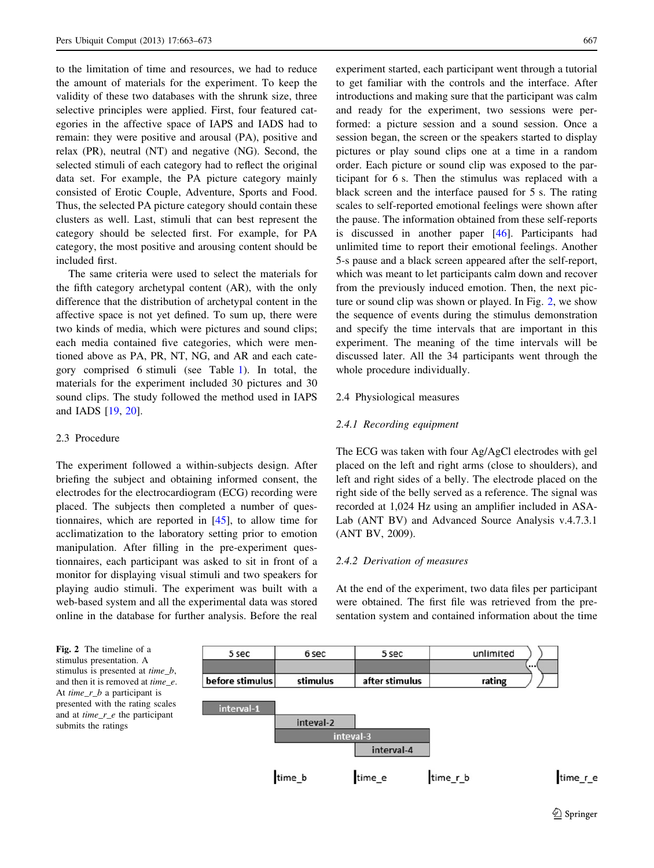<span id="page-4-0"></span>to the limitation of time and resources, we had to reduce the amount of materials for the experiment. To keep the validity of these two databases with the shrunk size, three selective principles were applied. First, four featured categories in the affective space of IAPS and IADS had to remain: they were positive and arousal (PA), positive and relax (PR), neutral (NT) and negative (NG). Second, the selected stimuli of each category had to reflect the original data set. For example, the PA picture category mainly consisted of Erotic Couple, Adventure, Sports and Food. Thus, the selected PA picture category should contain these clusters as well. Last, stimuli that can best represent the category should be selected first. For example, for PA category, the most positive and arousing content should be included first.

The same criteria were used to select the materials for the fifth category archetypal content (AR), with the only difference that the distribution of archetypal content in the affective space is not yet defined. To sum up, there were two kinds of media, which were pictures and sound clips; each media contained five categories, which were mentioned above as PA, PR, NT, NG, and AR and each category comprised 6 stimuli (see Table [1\)](#page-3-0). In total, the materials for the experiment included 30 pictures and 30 sound clips. The study followed the method used in IAPS and IADS [[19,](#page-10-0) [20](#page-10-0)].

# 2.3 Procedure

The experiment followed a within-subjects design. After briefing the subject and obtaining informed consent, the electrodes for the electrocardiogram (ECG) recording were placed. The subjects then completed a number of questionnaires, which are reported in [\[45](#page-10-0)], to allow time for acclimatization to the laboratory setting prior to emotion manipulation. After filling in the pre-experiment questionnaires, each participant was asked to sit in front of a monitor for displaying visual stimuli and two speakers for playing audio stimuli. The experiment was built with a web-based system and all the experimental data was stored online in the database for further analysis. Before the real experiment started, each participant went through a tutorial to get familiar with the controls and the interface. After introductions and making sure that the participant was calm and ready for the experiment, two sessions were performed: a picture session and a sound session. Once a session began, the screen or the speakers started to display pictures or play sound clips one at a time in a random order. Each picture or sound clip was exposed to the participant for 6 s. Then the stimulus was replaced with a black screen and the interface paused for 5 s. The rating scales to self-reported emotional feelings were shown after the pause. The information obtained from these self-reports is discussed in another paper [[46\]](#page-10-0). Participants had unlimited time to report their emotional feelings. Another 5-s pause and a black screen appeared after the self-report, which was meant to let participants calm down and recover from the previously induced emotion. Then, the next picture or sound clip was shown or played. In Fig. 2, we show the sequence of events during the stimulus demonstration and specify the time intervals that are important in this experiment. The meaning of the time intervals will be discussed later. All the 34 participants went through the whole procedure individually.

#### 2.4 Physiological measures

#### 2.4.1 Recording equipment

The ECG was taken with four Ag/AgCl electrodes with gel placed on the left and right arms (close to shoulders), and left and right sides of a belly. The electrode placed on the right side of the belly served as a reference. The signal was recorded at 1,024 Hz using an amplifier included in ASA-Lab (ANT BV) and Advanced Source Analysis v.4.7.3.1 (ANT BV, 2009).

# 2.4.2 Derivation of measures

At the end of the experiment, two data files per participant were obtained. The first file was retrieved from the presentation system and contained information about the time

Fig. 2 The timeline of a stimulus presentation. A stimulus is presented at  $time_b$ , and then it is removed at time\_e. At  $time_r_b$  a participant is presented with the rating scales and at *time*  $r$   $e$  the participant submits the ratings

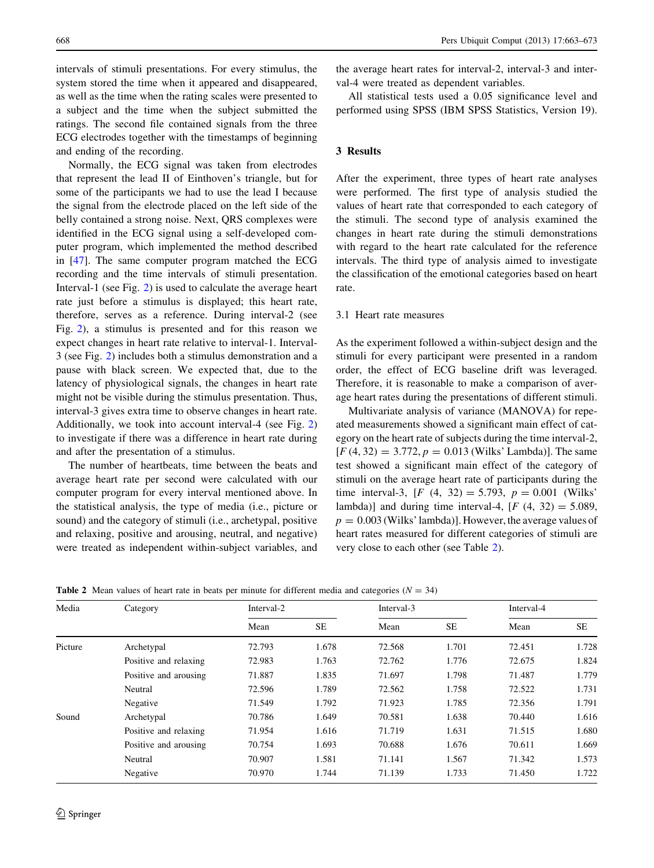intervals of stimuli presentations. For every stimulus, the system stored the time when it appeared and disappeared, as well as the time when the rating scales were presented to a subject and the time when the subject submitted the ratings. The second file contained signals from the three ECG electrodes together with the timestamps of beginning and ending of the recording.

Normally, the ECG signal was taken from electrodes that represent the lead II of Einthoven's triangle, but for some of the participants we had to use the lead I because the signal from the electrode placed on the left side of the belly contained a strong noise. Next, QRS complexes were identified in the ECG signal using a self-developed computer program, which implemented the method described in [[47\]](#page-10-0). The same computer program matched the ECG recording and the time intervals of stimuli presentation. Interval-1 (see Fig. [2\)](#page-4-0) is used to calculate the average heart rate just before a stimulus is displayed; this heart rate, therefore, serves as a reference. During interval-2 (see Fig. [2](#page-4-0)), a stimulus is presented and for this reason we expect changes in heart rate relative to interval-1. Interval-3 (see Fig. [2\)](#page-4-0) includes both a stimulus demonstration and a pause with black screen. We expected that, due to the latency of physiological signals, the changes in heart rate might not be visible during the stimulus presentation. Thus, interval-3 gives extra time to observe changes in heart rate. Additionally, we took into account interval-4 (see Fig. [2\)](#page-4-0) to investigate if there was a difference in heart rate during and after the presentation of a stimulus.

The number of heartbeats, time between the beats and average heart rate per second were calculated with our computer program for every interval mentioned above. In the statistical analysis, the type of media (i.e., picture or sound) and the category of stimuli (i.e., archetypal, positive and relaxing, positive and arousing, neutral, and negative) were treated as independent within-subject variables, and

the average heart rates for interval-2, interval-3 and interval-4 were treated as dependent variables.

All statistical tests used a 0.05 significance level and performed using SPSS (IBM SPSS Statistics, Version 19).

# 3 Results

After the experiment, three types of heart rate analyses were performed. The first type of analysis studied the values of heart rate that corresponded to each category of the stimuli. The second type of analysis examined the changes in heart rate during the stimuli demonstrations with regard to the heart rate calculated for the reference intervals. The third type of analysis aimed to investigate the classification of the emotional categories based on heart rate.

#### 3.1 Heart rate measures

As the experiment followed a within-subject design and the stimuli for every participant were presented in a random order, the effect of ECG baseline drift was leveraged. Therefore, it is reasonable to make a comparison of average heart rates during the presentations of different stimuli.

Multivariate analysis of variance (MANOVA) for repeated measurements showed a significant main effect of category on the heart rate of subjects during the time interval-2,  $[F(4, 32) = 3.772, p = 0.013$  (Wilks' Lambda)]. The same test showed a significant main effect of the category of stimuli on the average heart rate of participants during the time interval-3,  $[F (4, 32) = 5.793, p = 0.001$  (Wilks' lambda)] and during time interval-4,  $[F(4, 32) = 5.089,$  $p = 0.003$  (Wilks' lambda)]. However, the average values of heart rates measured for different categories of stimuli are very close to each other (see Table 2).

| Media   | Category              | Interval-2 |           | Interval-3 |           | Interval-4 |       |
|---------|-----------------------|------------|-----------|------------|-----------|------------|-------|
|         |                       | Mean       | <b>SE</b> | Mean       | <b>SE</b> | Mean       | SE    |
| Picture | Archetypal            | 72.793     | 1.678     | 72.568     | 1.701     | 72.451     | 1.728 |
|         | Positive and relaxing | 72.983     | 1.763     | 72.762     | 1.776     | 72.675     | 1.824 |
|         | Positive and arousing | 71.887     | 1.835     | 71.697     | 1.798     | 71.487     | 1.779 |
|         | Neutral               | 72.596     | 1.789     | 72.562     | 1.758     | 72.522     | 1.731 |
|         | Negative              | 71.549     | 1.792     | 71.923     | 1.785     | 72.356     | 1.791 |
| Sound   | Archetypal            | 70.786     | 1.649     | 70.581     | 1.638     | 70.440     | 1.616 |
|         | Positive and relaxing | 71.954     | 1.616     | 71.719     | 1.631     | 71.515     | 1.680 |
|         | Positive and arousing | 70.754     | 1.693     | 70.688     | 1.676     | 70.611     | 1.669 |
|         | Neutral               | 70.907     | 1.581     | 71.141     | 1.567     | 71.342     | 1.573 |
|         | Negative              | 70.970     | 1.744     | 71.139     | 1.733     | 71.450     | 1.722 |

**Table 2** Mean values of heart rate in beats per minute for different media and categories ( $N = 34$ )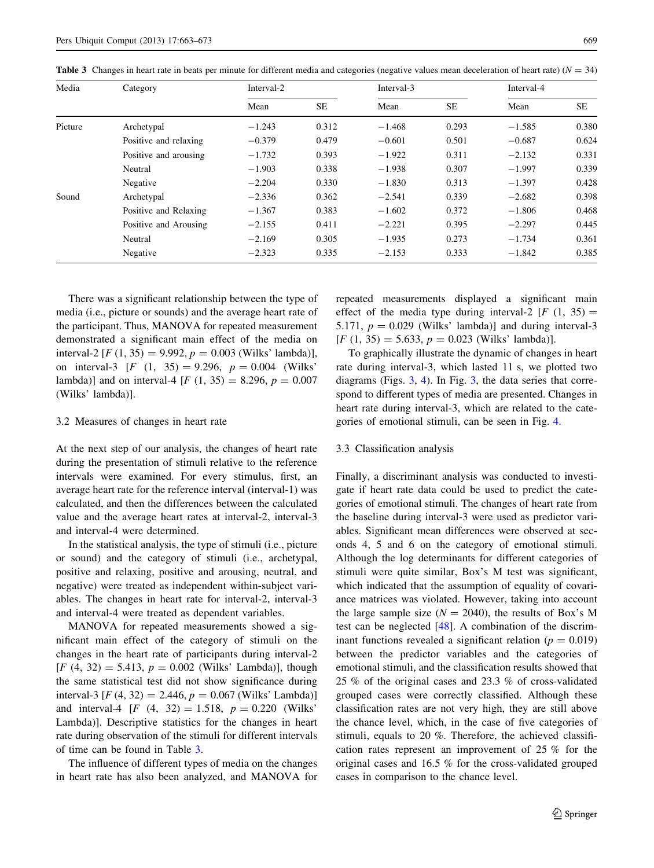|  |  |  |  |  | <b>Table 3</b> Changes in heart rate in beats per minute for different media and categories (negative values mean deceleration of heart rate) ( $N = 34$ ) |  |
|--|--|--|--|--|------------------------------------------------------------------------------------------------------------------------------------------------------------|--|
|--|--|--|--|--|------------------------------------------------------------------------------------------------------------------------------------------------------------|--|

| Media   | Category              | Interval-2 |           | Interval-3 |           | Interval-4 |           |
|---------|-----------------------|------------|-----------|------------|-----------|------------|-----------|
|         |                       | Mean       | <b>SE</b> | Mean       | <b>SE</b> | Mean       | <b>SE</b> |
| Picture | Archetypal            | $-1.243$   | 0.312     | $-1.468$   | 0.293     | $-1.585$   | 0.380     |
|         | Positive and relaxing | $-0.379$   | 0.479     | $-0.601$   | 0.501     | $-0.687$   | 0.624     |
|         | Positive and arousing | $-1.732$   | 0.393     | $-1.922$   | 0.311     | $-2.132$   | 0.331     |
|         | Neutral               | $-1.903$   | 0.338     | $-1.938$   | 0.307     | $-1.997$   | 0.339     |
|         | Negative              | $-2.204$   | 0.330     | $-1.830$   | 0.313     | $-1.397$   | 0.428     |
| Sound   | Archetypal            | $-2.336$   | 0.362     | $-2.541$   | 0.339     | $-2.682$   | 0.398     |
|         | Positive and Relaxing | $-1.367$   | 0.383     | $-1.602$   | 0.372     | $-1.806$   | 0.468     |
|         | Positive and Arousing | $-2.155$   | 0.411     | $-2.221$   | 0.395     | $-2.297$   | 0.445     |
|         | Neutral               | $-2.169$   | 0.305     | $-1.935$   | 0.273     | $-1.734$   | 0.361     |
|         | Negative              | $-2.323$   | 0.335     | $-2.153$   | 0.333     | $-1.842$   | 0.385     |

There was a significant relationship between the type of media (i.e., picture or sounds) and the average heart rate of the participant. Thus, MANOVA for repeated measurement demonstrated a significant main effect of the media on interval-2 [ $F(1, 35) = 9.992$ ,  $p = 0.003$  (Wilks' lambda)], on interval-3  $[F (1, 35) = 9.296, p = 0.004$  (Wilks' lambda)] and on interval-4 [F (1, 35) = 8.296,  $p = 0.007$ (Wilks' lambda)].

#### 3.2 Measures of changes in heart rate

At the next step of our analysis, the changes of heart rate during the presentation of stimuli relative to the reference intervals were examined. For every stimulus, first, an average heart rate for the reference interval (interval-1) was calculated, and then the differences between the calculated value and the average heart rates at interval-2, interval-3 and interval-4 were determined.

In the statistical analysis, the type of stimuli (i.e., picture or sound) and the category of stimuli (i.e., archetypal, positive and relaxing, positive and arousing, neutral, and negative) were treated as independent within-subject variables. The changes in heart rate for interval-2, interval-3 and interval-4 were treated as dependent variables.

MANOVA for repeated measurements showed a significant main effect of the category of stimuli on the changes in the heart rate of participants during interval-2  $[F (4, 32) = 5.413, p = 0.002$  (Wilks' Lambda)], though the same statistical test did not show significance during interval-3  $[F(4, 32) = 2.446, p = 0.067$  (Wilks' Lambda)] and interval-4 [F (4, 32) = 1.518,  $p = 0.220$  (Wilks' Lambda)]. Descriptive statistics for the changes in heart rate during observation of the stimuli for different intervals of time can be found in Table 3.

The influence of different types of media on the changes in heart rate has also been analyzed, and MANOVA for

repeated measurements displayed a significant main effect of the media type during interval-2  $[F (1, 35) =$ 5.171,  $p = 0.029$  (Wilks' lambda)] and during interval-3  $[F (1, 35) = 5.633, p = 0.023$  (Wilks' lambda)].

To graphically illustrate the dynamic of changes in heart rate during interval-3, which lasted 11 s, we plotted two diagrams (Figs. [3,](#page-7-0) [4\)](#page-7-0). In Fig. [3,](#page-7-0) the data series that correspond to different types of media are presented. Changes in heart rate during interval-3, which are related to the categories of emotional stimuli, can be seen in Fig. [4.](#page-7-0)

#### 3.3 Classification analysis

Finally, a discriminant analysis was conducted to investigate if heart rate data could be used to predict the categories of emotional stimuli. The changes of heart rate from the baseline during interval-3 were used as predictor variables. Significant mean differences were observed at seconds 4, 5 and 6 on the category of emotional stimuli. Although the log determinants for different categories of stimuli were quite similar, Box's M test was significant, which indicated that the assumption of equality of covariance matrices was violated. However, taking into account the large sample size ( $N = 2040$ ), the results of Box's M test can be neglected [\[48](#page-10-0)]. A combination of the discriminant functions revealed a significant relation ( $p = 0.019$ ) between the predictor variables and the categories of emotional stimuli, and the classification results showed that 25 % of the original cases and 23.3 % of cross-validated grouped cases were correctly classified. Although these classification rates are not very high, they are still above the chance level, which, in the case of five categories of stimuli, equals to 20 %. Therefore, the achieved classification rates represent an improvement of 25 % for the original cases and 16.5 % for the cross-validated grouped cases in comparison to the chance level.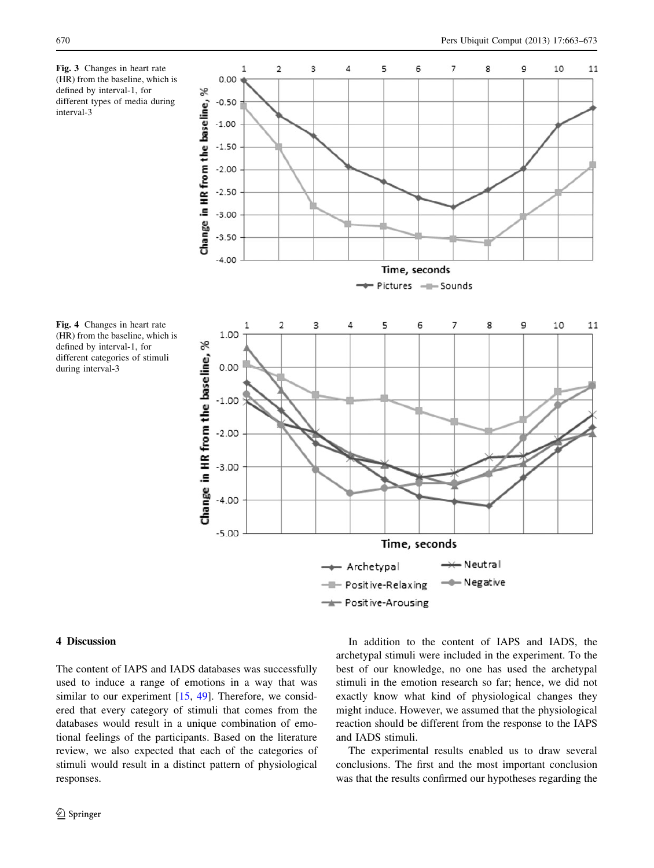<span id="page-7-0"></span>



Fig. 4 Changes in heart rate (HR) from the baseline, which is defined by interval-1, for different categories of stimuli during interval-3

# 4 Discussion

The content of IAPS and IADS databases was successfully used to induce a range of emotions in a way that was similar to our experiment  $[15, 49]$  $[15, 49]$  $[15, 49]$  $[15, 49]$ . Therefore, we considered that every category of stimuli that comes from the databases would result in a unique combination of emotional feelings of the participants. Based on the literature review, we also expected that each of the categories of stimuli would result in a distinct pattern of physiological responses.

In addition to the content of IAPS and IADS, the archetypal stimuli were included in the experiment. To the best of our knowledge, no one has used the archetypal stimuli in the emotion research so far; hence, we did not exactly know what kind of physiological changes they might induce. However, we assumed that the physiological reaction should be different from the response to the IAPS and IADS stimuli.

The experimental results enabled us to draw several conclusions. The first and the most important conclusion was that the results confirmed our hypotheses regarding the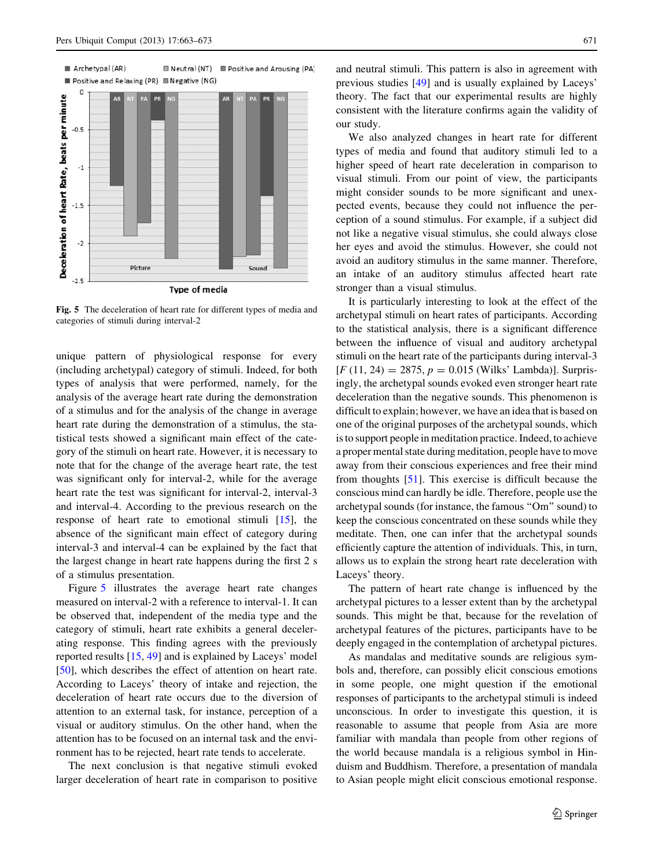Archetypal (AR) Neutral (NT) Positive and Arousing (PA) Positive and Relaxing (PR) Negative (NG)



Fig. 5 The deceleration of heart rate for different types of media and categories of stimuli during interval-2

unique pattern of physiological response for every (including archetypal) category of stimuli. Indeed, for both types of analysis that were performed, namely, for the analysis of the average heart rate during the demonstration of a stimulus and for the analysis of the change in average heart rate during the demonstration of a stimulus, the statistical tests showed a significant main effect of the category of the stimuli on heart rate. However, it is necessary to note that for the change of the average heart rate, the test was significant only for interval-2, while for the average heart rate the test was significant for interval-2, interval-3 and interval-4. According to the previous research on the response of heart rate to emotional stimuli [\[15](#page-9-0)], the absence of the significant main effect of category during interval-3 and interval-4 can be explained by the fact that the largest change in heart rate happens during the first 2 s of a stimulus presentation.

Figure 5 illustrates the average heart rate changes measured on interval-2 with a reference to interval-1. It can be observed that, independent of the media type and the category of stimuli, heart rate exhibits a general decelerating response. This finding agrees with the previously reported results [[15,](#page-9-0) [49\]](#page-10-0) and is explained by Laceys' model [\[50](#page-10-0)], which describes the effect of attention on heart rate. According to Laceys' theory of intake and rejection, the deceleration of heart rate occurs due to the diversion of attention to an external task, for instance, perception of a visual or auditory stimulus. On the other hand, when the attention has to be focused on an internal task and the environment has to be rejected, heart rate tends to accelerate.

The next conclusion is that negative stimuli evoked larger deceleration of heart rate in comparison to positive

and neutral stimuli. This pattern is also in agreement with previous studies [[49\]](#page-10-0) and is usually explained by Laceys' theory. The fact that our experimental results are highly consistent with the literature confirms again the validity of our study.

We also analyzed changes in heart rate for different types of media and found that auditory stimuli led to a higher speed of heart rate deceleration in comparison to visual stimuli. From our point of view, the participants might consider sounds to be more significant and unexpected events, because they could not influence the perception of a sound stimulus. For example, if a subject did not like a negative visual stimulus, she could always close her eyes and avoid the stimulus. However, she could not avoid an auditory stimulus in the same manner. Therefore, an intake of an auditory stimulus affected heart rate stronger than a visual stimulus.

It is particularly interesting to look at the effect of the archetypal stimuli on heart rates of participants. According to the statistical analysis, there is a significant difference between the influence of visual and auditory archetypal stimuli on the heart rate of the participants during interval-3  $[F (11, 24) = 2875, p = 0.015$  (Wilks' Lambda)]. Surprisingly, the archetypal sounds evoked even stronger heart rate deceleration than the negative sounds. This phenomenon is difficult to explain; however, we have an idea that is based on one of the original purposes of the archetypal sounds, which is to support people in meditation practice. Indeed, to achieve a proper mental state during meditation, people have to move away from their conscious experiences and free their mind from thoughts [\[51](#page-10-0)]. This exercise is difficult because the conscious mind can hardly be idle. Therefore, people use the archetypal sounds (for instance, the famous ''Om'' sound) to keep the conscious concentrated on these sounds while they meditate. Then, one can infer that the archetypal sounds efficiently capture the attention of individuals. This, in turn, allows us to explain the strong heart rate deceleration with Laceys' theory.

The pattern of heart rate change is influenced by the archetypal pictures to a lesser extent than by the archetypal sounds. This might be that, because for the revelation of archetypal features of the pictures, participants have to be deeply engaged in the contemplation of archetypal pictures.

As mandalas and meditative sounds are religious symbols and, therefore, can possibly elicit conscious emotions in some people, one might question if the emotional responses of participants to the archetypal stimuli is indeed unconscious. In order to investigate this question, it is reasonable to assume that people from Asia are more familiar with mandala than people from other regions of the world because mandala is a religious symbol in Hinduism and Buddhism. Therefore, a presentation of mandala to Asian people might elicit conscious emotional response.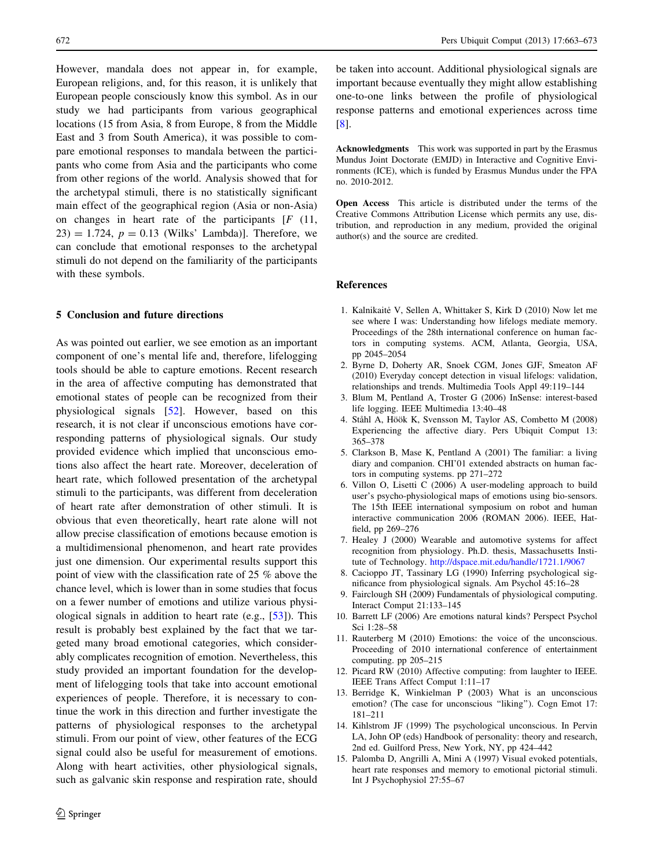<span id="page-9-0"></span>However, mandala does not appear in, for example, European religions, and, for this reason, it is unlikely that European people consciously know this symbol. As in our study we had participants from various geographical locations (15 from Asia, 8 from Europe, 8 from the Middle East and 3 from South America), it was possible to compare emotional responses to mandala between the participants who come from Asia and the participants who come from other regions of the world. Analysis showed that for the archetypal stimuli, there is no statistically significant main effect of the geographical region (Asia or non-Asia) on changes in heart rate of the participants  $[F(11,$  $(23) = 1.724$ ,  $p = 0.13$  (Wilks' Lambda)]. Therefore, we can conclude that emotional responses to the archetypal stimuli do not depend on the familiarity of the participants with these symbols.

#### 5 Conclusion and future directions

As was pointed out earlier, we see emotion as an important component of one's mental life and, therefore, lifelogging tools should be able to capture emotions. Recent research in the area of affective computing has demonstrated that emotional states of people can be recognized from their physiological signals [\[52](#page-10-0)]. However, based on this research, it is not clear if unconscious emotions have corresponding patterns of physiological signals. Our study provided evidence which implied that unconscious emotions also affect the heart rate. Moreover, deceleration of heart rate, which followed presentation of the archetypal stimuli to the participants, was different from deceleration of heart rate after demonstration of other stimuli. It is obvious that even theoretically, heart rate alone will not allow precise classification of emotions because emotion is a multidimensional phenomenon, and heart rate provides just one dimension. Our experimental results support this point of view with the classification rate of 25 % above the chance level, which is lower than in some studies that focus on a fewer number of emotions and utilize various physiological signals in addition to heart rate (e.g., [\[53](#page-10-0)]). This result is probably best explained by the fact that we targeted many broad emotional categories, which considerably complicates recognition of emotion. Nevertheless, this study provided an important foundation for the development of lifelogging tools that take into account emotional experiences of people. Therefore, it is necessary to continue the work in this direction and further investigate the patterns of physiological responses to the archetypal stimuli. From our point of view, other features of the ECG signal could also be useful for measurement of emotions. Along with heart activities, other physiological signals, such as galvanic skin response and respiration rate, should

be taken into account. Additional physiological signals are important because eventually they might allow establishing one-to-one links between the profile of physiological response patterns and emotional experiences across time [8].

Acknowledgments This work was supported in part by the Erasmus Mundus Joint Doctorate (EMJD) in Interactive and Cognitive Environments (ICE), which is funded by Erasmus Mundus under the FPA no. 2010-2012.

Open Access This article is distributed under the terms of the Creative Commons Attribution License which permits any use, distribution, and reproduction in any medium, provided the original author(s) and the source are credited.

#### References

- 1. Kalnikaite V, Sellen A, Whittaker S, Kirk D (2010) Now let me \_ see where I was: Understanding how lifelogs mediate memory. Proceedings of the 28th international conference on human factors in computing systems. ACM, Atlanta, Georgia, USA, pp 2045–2054
- 2. Byrne D, Doherty AR, Snoek CGM, Jones GJF, Smeaton AF (2010) Everyday concept detection in visual lifelogs: validation, relationships and trends. Multimedia Tools Appl 49:119–144
- 3. Blum M, Pentland A, Troster G (2006) InSense: interest-based life logging. IEEE Multimedia 13:40–48
- 4. Ståhl A, Höök K, Svensson M, Taylor AS, Combetto M (2008) Experiencing the affective diary. Pers Ubiquit Comput 13: 365–378
- 5. Clarkson B, Mase K, Pentland A (2001) The familiar: a living diary and companion. CHI'01 extended abstracts on human factors in computing systems. pp 271–272
- 6. Villon O, Lisetti C (2006) A user-modeling approach to build user's psycho-physiological maps of emotions using bio-sensors. The 15th IEEE international symposium on robot and human interactive communication 2006 (ROMAN 2006). IEEE, Hatfield, pp 269–276
- 7. Healey J (2000) Wearable and automotive systems for affect recognition from physiology. Ph.D. thesis, Massachusetts Institute of Technology. <http://dspace.mit.edu/handle/1721.1/9067>
- 8. Cacioppo JT, Tassinary LG (1990) Inferring psychological significance from physiological signals. Am Psychol 45:16–28
- 9. Fairclough SH (2009) Fundamentals of physiological computing. Interact Comput 21:133–145
- 10. Barrett LF (2006) Are emotions natural kinds? Perspect Psychol Sci 1:28–58
- 11. Rauterberg M (2010) Emotions: the voice of the unconscious. Proceeding of 2010 international conference of entertainment computing. pp 205–215
- 12. Picard RW (2010) Affective computing: from laughter to IEEE. IEEE Trans Affect Comput 1:11–17
- 13. Berridge K, Winkielman P (2003) What is an unconscious emotion? (The case for unconscious "liking"). Cogn Emot 17: 181–211
- 14. Kihlstrom JF (1999) The psychological unconscious. In Pervin LA, John OP (eds) Handbook of personality: theory and research, 2nd ed. Guilford Press, New York, NY, pp 424–442
- 15. Palomba D, Angrilli A, Mini A (1997) Visual evoked potentials, heart rate responses and memory to emotional pictorial stimuli. Int J Psychophysiol 27:55–67